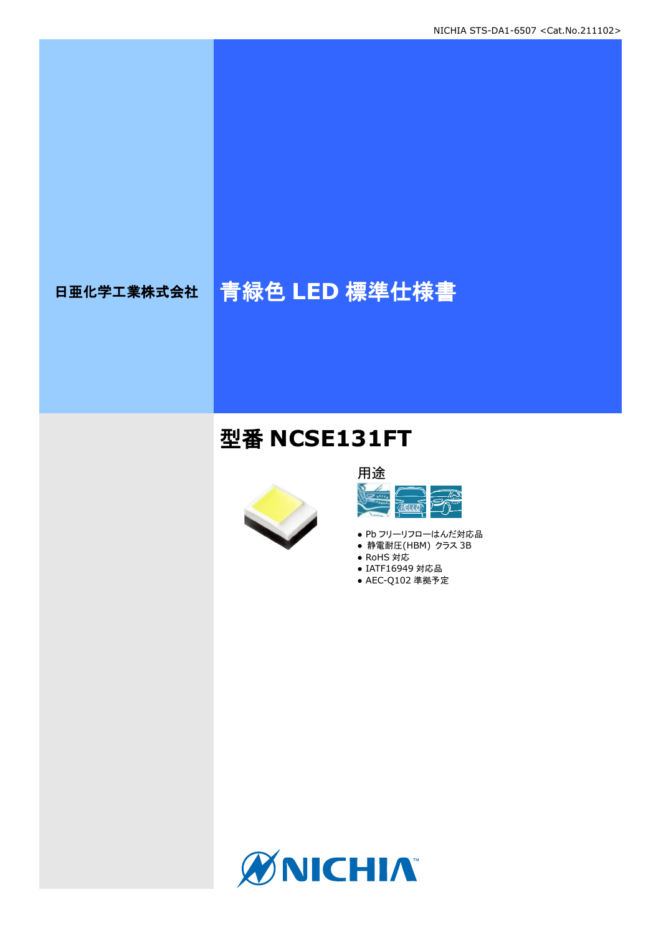# 日亜化学工業株式会社 青緑色 **LED** 標準仕様書

## 型番 **NCSE131FT**



### 用途 **ARIT** <u>ज़ैं पर</u>

- Pb フリーリフローはんだ対応品
- 静電耐圧(HBM) クラス 3B
- RoHS 対応 ● IATF16949 対応品
- AEC-Q102 準拠予定

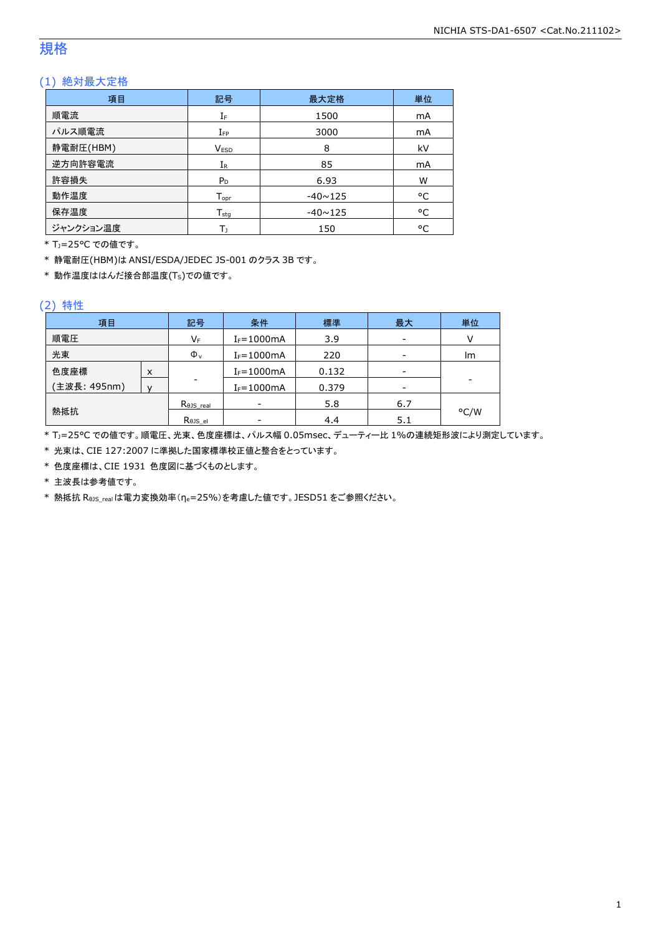### 規格

### (1) 絶対最大定格

| 項目        | 記号                 | 最大定格           | 単位 |
|-----------|--------------------|----------------|----|
| 順電流       | IF                 | 1500           | mA |
| パルス順電流    | $I_{FP}$           | 3000           | mA |
| 静電耐圧(HBM) | <b>VESD</b>        | 8              | kV |
| 逆方向許容電流   | $I_{R}$            | 85             | mA |
| 許容損失      | $P_D$              | 6.93           | W  |
| 動作温度      | $T_{\mathsf{opr}}$ | $-40 \sim 125$ | °C |
| 保存温度      | $T_{sta}$          | $-40 \sim 125$ | °C |
| ジャンクション温度 | Tı                 | 150            | °C |

\* TJ=25°C での値です。

\* 静電耐圧(HBM)は ANSI/ESDA/JEDEC JS-001 のクラス 3B です。

 $*$  動作温度ははんだ接合部温度(Ts)での値です。

#### (2) 特性

| 項目           |   | 記号                 | 条件                       | 標準    | 最大  | 単位   |
|--------------|---|--------------------|--------------------------|-------|-----|------|
| 順電圧          |   | $V_{\mathsf{F}}$   | $I_F = 1000mA$           | 3.9   | -   |      |
| 光束           |   | $\Phi_{\rm v}$     | $I_F = 1000mA$           | 220   | -   | Im   |
| 色度座標         | X |                    | $I_F = 1000mA$           | 0.132 | -   |      |
| (主波長: 495nm) |   | -                  | $I_F = 1000mA$           | 0.379 | -   |      |
| 熱抵抗          |   | $R0JS$ real        | $\overline{\phantom{0}}$ | 5.8   | 6.7 |      |
|              |   | $R_{\theta}$ JS el | ۰                        | 4.4   | 5.1 | °C/W |

\* TJ=25°C での値です。順電圧、光束、色度座標は、パルス幅 0.05msec、デューティー比 1%の連続矩形波により測定しています。

\* 光束は、CIE 127:2007 に準拠した国家標準校正値と整合をとっています。

\* 色度座標は、CIE 1931 色度図に基づくものとします。

\* 主波長は参考値です。

\* 熱抵抗 RθJS\_realは電力変換効率(ηe=25%)を考慮した値です。JESD51 をご参照ください。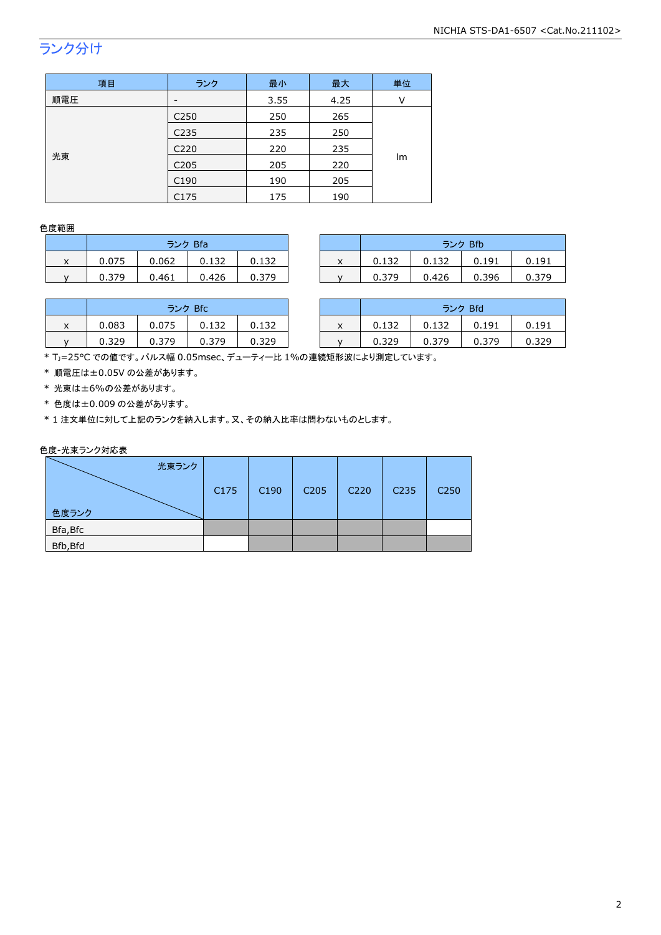## ランク分け

| 項目  | ランク              | 最小   | 最大   | 単位 |
|-----|------------------|------|------|----|
| 順電圧 |                  | 3.55 | 4.25 | ν  |
|     | C <sub>250</sub> | 250  | 265  |    |
|     | C <sub>235</sub> | 235  | 250  |    |
|     | C <sub>220</sub> | 220  | 235  |    |
| 光束  | C <sub>205</sub> | 205  | 220  | lm |
|     | C <sub>190</sub> | 190  | 205  |    |
|     | C175             | 175  | 190  |    |

#### 色度範囲

|   | ランク Bfa |       |       |       |  |  |  |
|---|---------|-------|-------|-------|--|--|--|
| x | 0.075   | 0.062 | 0.132 | 0.132 |  |  |  |
|   | 0.379   | 0.461 | 0.426 | 0.379 |  |  |  |

|   | ランク Bfa |       |       |       | ランク Bfb                |       |       |       |       |
|---|---------|-------|-------|-------|------------------------|-------|-------|-------|-------|
| x | 0.075   | 0.062 | 0.132 | 0.132 | $\lambda$<br>$\lambda$ | 0.132 | 0.132 | 0.191 | 0.191 |
|   | 0.379   | 0.461 | 0.426 | 0.379 |                        | 0.379 | 0.426 | 0.396 | 0.379 |

|   | ランク Bfc |       |       |       |  |  |  |  |
|---|---------|-------|-------|-------|--|--|--|--|
| x | 0.083   | 0.075 | 0.132 | 0.132 |  |  |  |  |
|   | 0.329   | 0.379 | 0.379 | በ 329 |  |  |  |  |

|   | ランク Bfc |       |       |       |                           |       | ランク Bfd |       |       |
|---|---------|-------|-------|-------|---------------------------|-------|---------|-------|-------|
| x | 0.083   | 0.075 | 0.132 | 0.132 | $\checkmark$<br>$\lambda$ | 0.132 | 0.132   | 0.191 | 0.191 |
|   | 0.329   | 0.379 | 0.379 | 0.329 |                           | 0.329 | 0.379   | 0.379 | 0.329 |
|   |         |       |       |       |                           |       |         |       |       |

\* TJ=25°C での値です。パルス幅 0.05msec、デューティー比 1%の連続矩形波により測定しています。

\* 順電圧は±0.05V の公差があります。

\* 光束は±6%の公差があります。

\* 色度は±0.009 の公差があります。

\* 1 注文単位に対して上記のランクを納入します。又、その納入比率は問わないものとします。

#### 色度-光束ランク対応表

| 光束ランク    |      |                  |                  |                   |                  |                  |
|----------|------|------------------|------------------|-------------------|------------------|------------------|
|          | C175 | C <sub>190</sub> | C <sub>205</sub> | C <sub>2</sub> 20 | C <sub>235</sub> | C <sub>250</sub> |
| 色度ランク    |      |                  |                  |                   |                  |                  |
| Bfa, Bfc |      |                  |                  |                   |                  |                  |
| Bfb, Bfd |      |                  |                  |                   |                  |                  |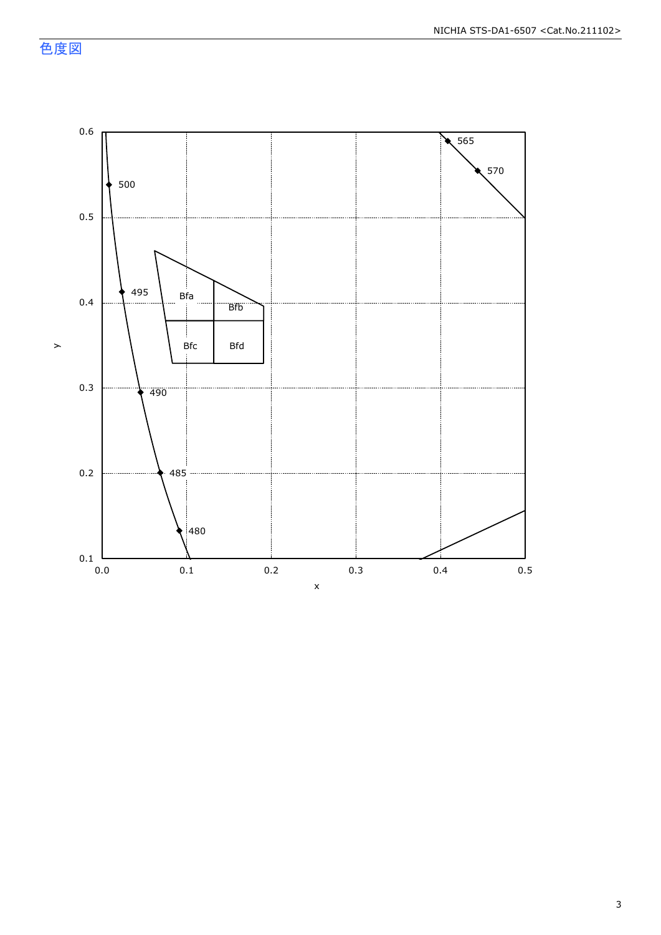色度図

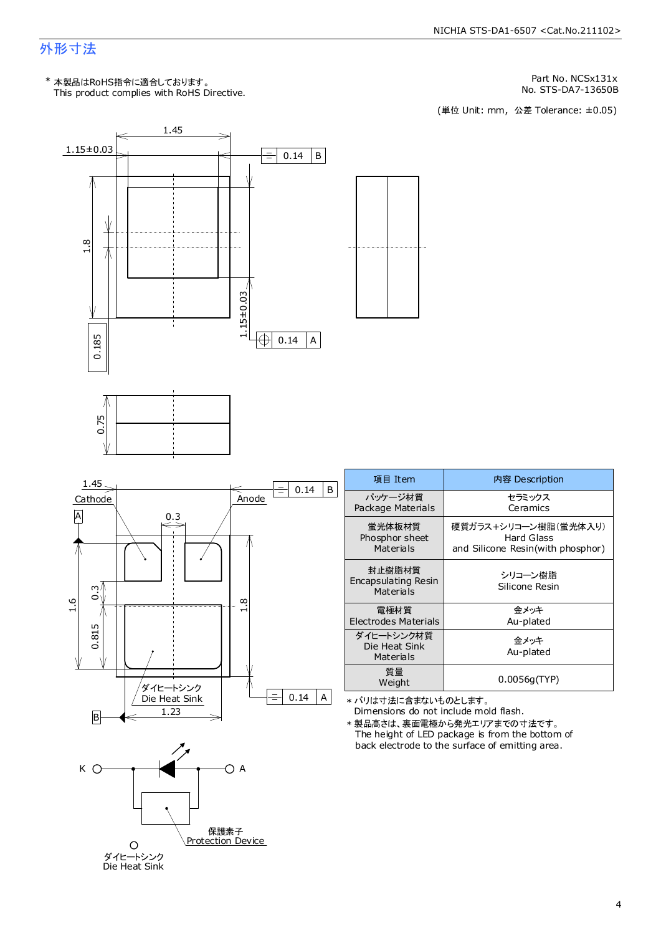### 外形寸法

This product complies with RoHS Directive. \* 本製品はRoHS指令に適合しております。

Part No. NCSx131x

No. STS-DA7-13650B<br>(単位 Unit: mm,公差 Tolerance: ±0.05)

内容 Description セラミックス Ceramics

Hard Glass

金メッキ Au-plated

金メッキ Au-plated

シリコーン樹脂 Silicone Resin



保護素子 Protection Device

ダイヒートシンク<br>Die Heat Sink

 $\circ$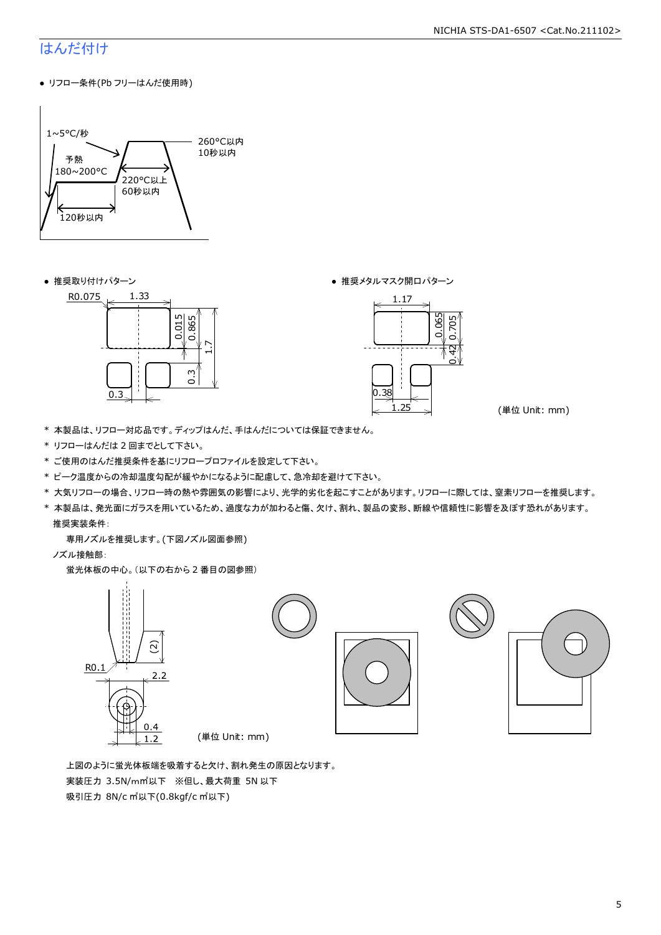### はんだ付け

● リフロー条件(Pb フリーはんだ使用時)



● 推奨取り付けパターン ろんじょう しょうしゃ ゆうしゃ ウィック あんきょう きょうかん きゅうしょく 推奨メタルマスク開口パターン





(単位 Unit: mm)

- \* 本製品は、リフロー対応品です。ディップはんだ、手はんだについては保証できません。
- \* リフローはんだは 2 回までとして下さい。
- \* ご使用のはんだ推奨条件を基にリフロープロファイルを設定して下さい。
- \* ピーク温度からの冷却温度勾配が緩やかになるように配慮して、急冷却を避けて下さい。
- \* 大気リフローの場合、リフロー時の熱や雰囲気の影響により、光学的劣化を起こすことがあります。リフローに際しては、窒素リフローを推奨します。
- \* 本製品は、発光面にガラスを用いているため、過度な力が加わると傷、欠け、割れ、製品の変形、断線や信頼性に影響を及ぼす恐れがあります。 推奨実装条件:

専用ノズルを推奨します。(下図ノズル図面参照)

ノズル接触部:

蛍光体板の中心。(以下の右から 2 番目の図参照)



 上図のように蛍光体板端を吸着すると欠け、割れ発生の原因となります。 実装圧力 3.5N/m㎡以下 ※但し、最大荷重 5N 以下 吸引圧力 8N/c ㎡以下(0.8kgf/c ㎡以下)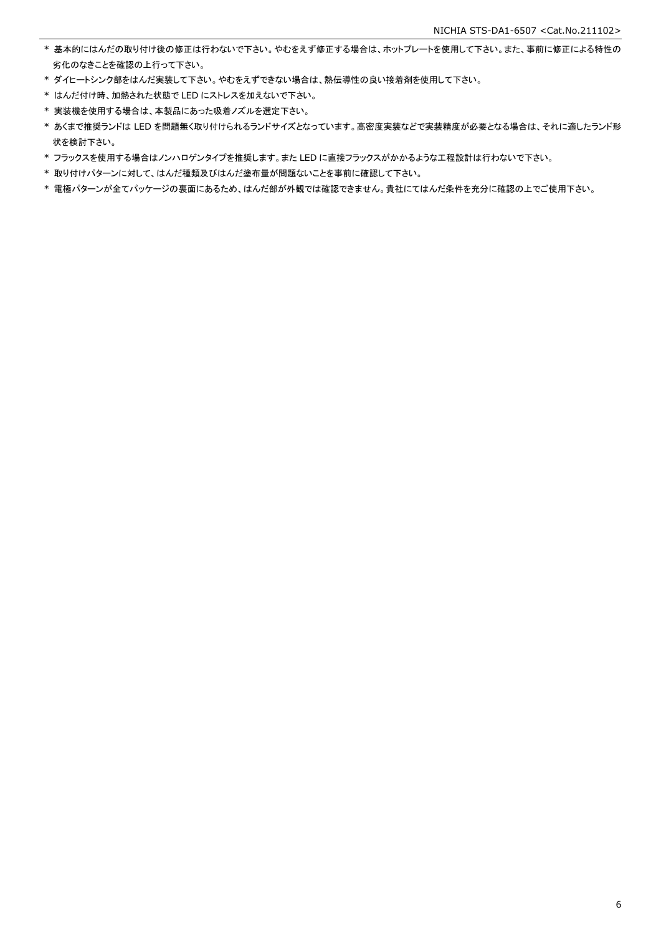- \* 基本的にはんだの取り付け後の修正は行わないで下さい。やむをえず修正する場合は、ホットプレートを使用して下さい。また、事前に修正による特性の 劣化のなきことを確認の上行って下さい。
- \* ダイヒートシンク部をはんだ実装して下さい。やむをえずできない場合は、熱伝導性の良い接着剤を使用して下さい。
- \* はんだ付け時、加熱された状態で LED にストレスを加えないで下さい。
- \* 実装機を使用する場合は、本製品にあった吸着ノズルを選定下さい。
- \* あくまで推奨ランドは LED を問題無く取り付けられるランドサイズとなっています。高密度実装などで実装精度が必要となる場合は、それに適したランド形 状を検討下さい。
- \* フラックスを使用する場合はノンハロゲンタイプを推奨します。また LED に直接フラックスがかかるような工程設計は行わないで下さい。
- \* 取り付けパターンに対して、はんだ種類及びはんだ塗布量が問題ないことを事前に確認して下さい。
- \* 電極パターンが全てパッケージの裏面にあるため、はんだ部が外観では確認できません。貴社にてはんだ条件を充分に確認の上でご使用下さい。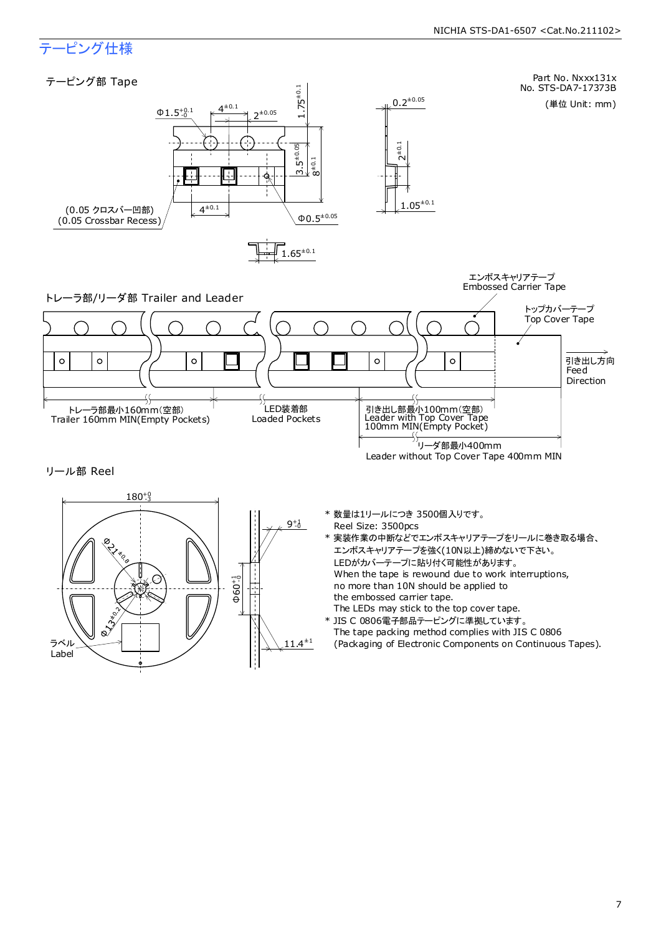### テーピング仕様

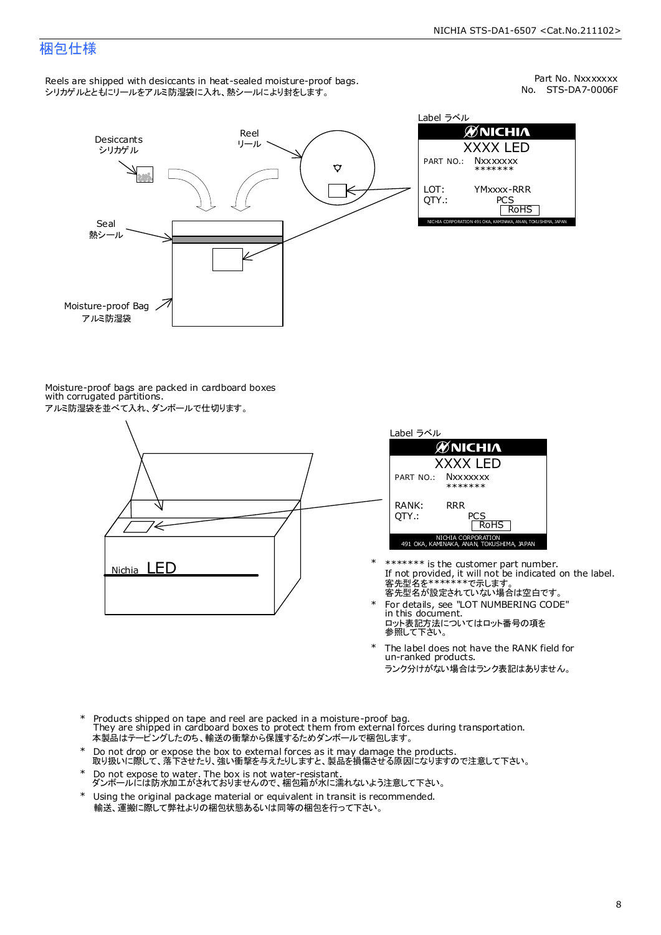### 梱包仕様

Reels are shipped with desiccants in heat-sealed moisture-proof bags. シリカゲルとともにリールをアルミ防湿袋に入れ、熱シールにより封をします。

No. STS-DA7-0006F Part No. Nxxxxxxx



| Label ラベル       |                                                              |  |  |  |  |  |
|-----------------|--------------------------------------------------------------|--|--|--|--|--|
|                 | ØNICHIA                                                      |  |  |  |  |  |
| <b>XXXX LED</b> |                                                              |  |  |  |  |  |
| PART NO.:       | <b>Nxxxxxxx</b><br>*******                                   |  |  |  |  |  |
| LOT:<br>OTY.:   | YMxxxx-RRR<br>PCS<br><b>RoHS</b>                             |  |  |  |  |  |
|                 | NICHIA CORPORATION 491 OKA, KAMINAKA, ANAN, TOKUSHIMA, JAPAN |  |  |  |  |  |

Moisture-proof bags are packed in cardboard boxes with corrugated partitions. アルミ防湿袋を並べて入れ、ダンボールで仕切ります。





- 客先型名を\*\*\*\*\*\*\*\*で示します。<br>客先型名が設定されていない場合は空白です。 If not provided, it will not be indicated on the label. \*\*\*\*\*\*\* is the customer part number.
- For details, see "LOT NUMBERING CODE" in this document. ロット表記方法についてはロット番号の項を<br>参照して下さい。 \*
- The label does not have the RANK field for un-ranked products. ランク分けがない場合はランク表記はありません。 \*
- Products shipped on tape and reel are packed in a moisture-proof bag. They are shipped in cardboard boxes to protect them from external forces during transportation. 本製品はテーピングしたのち、輸送の衝撃から保護するためダンボールで梱包します。 \*
- Do not drop or expose the box to external forces as it may damage the products. 取り扱いに際して、落下させたり、強い衝撃を与えたりしますと、製品を損傷させる原因になりますので注意して下さい。 \*
- Do not expose to water. The box is not water-resistant. ダンボールには防水加工がされておりませんので、梱包箱が水に濡れないよう注意して下さい。 \*
- \* Using the original package material or equivalent in transit is recommended. 輸送、運搬に際して弊社よりの梱包状態あるいは同等の梱包を行って下さい。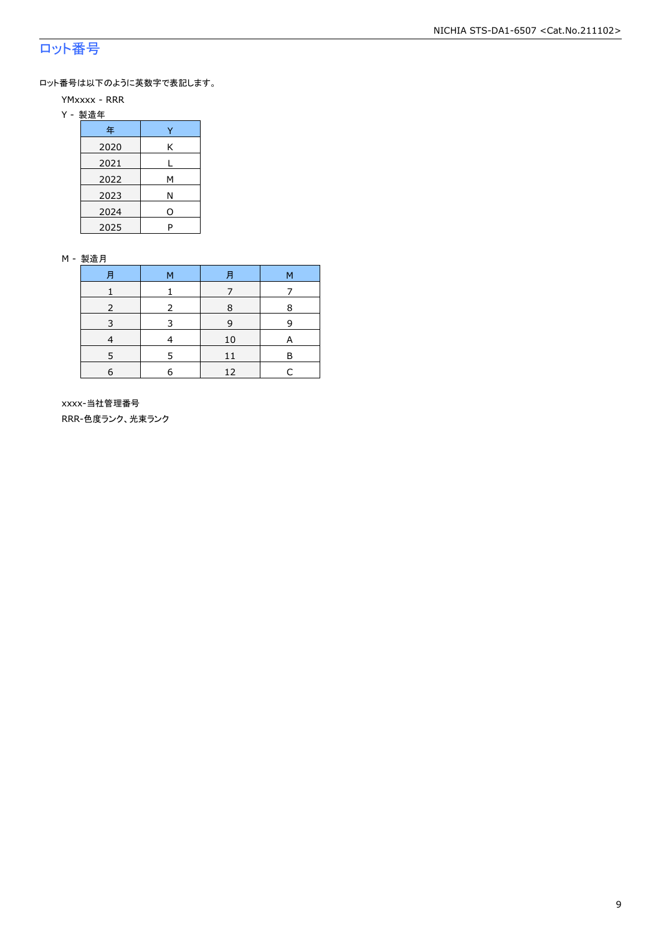### ロット番号

ロット番号は以下のように英数字で表記します。

- YMxxxx RRR
- Y 製造年

| 年    |   |
|------|---|
| 2020 | Κ |
| 2021 |   |
| 2022 | м |
| 2023 | Ν |
| 2024 | ი |
| 2025 | P |

#### M - 製造月

|   | M | F  | М |
|---|---|----|---|
|   |   |    |   |
|   | 2 | 8  | 8 |
|   |   | q  | q |
|   |   | 10 |   |
|   |   |    | в |
| 6 |   | 12 |   |

 xxxx-当社管理番号 RRR-色度ランク、光束ランク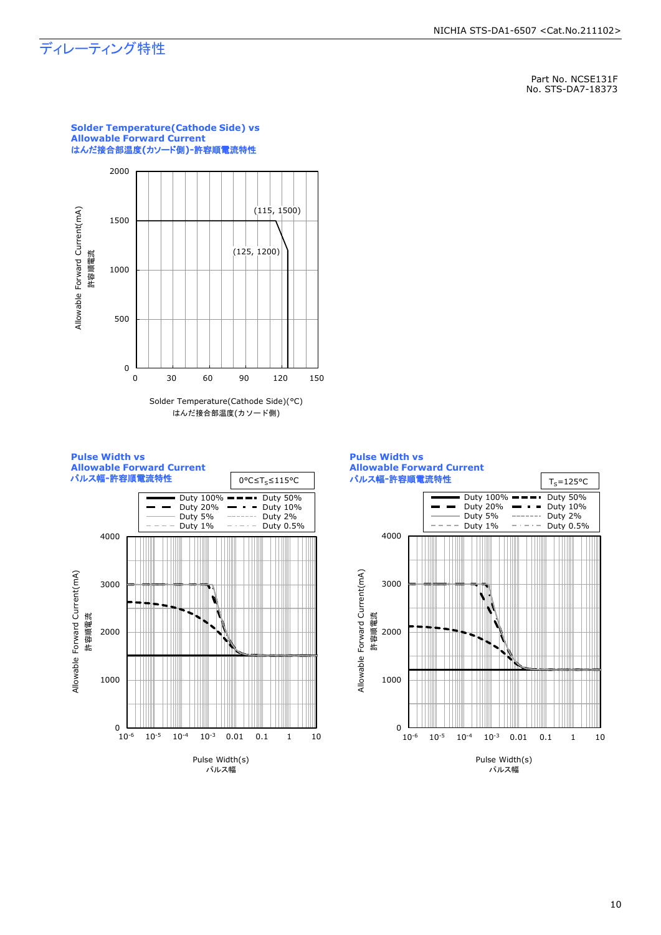### ディレーティング特性

Part No. NCSE131F No. STS-DA7-18373



**Solder Temperature(Cathode Side) vs** 

はんだ接合部温度(カソード側)



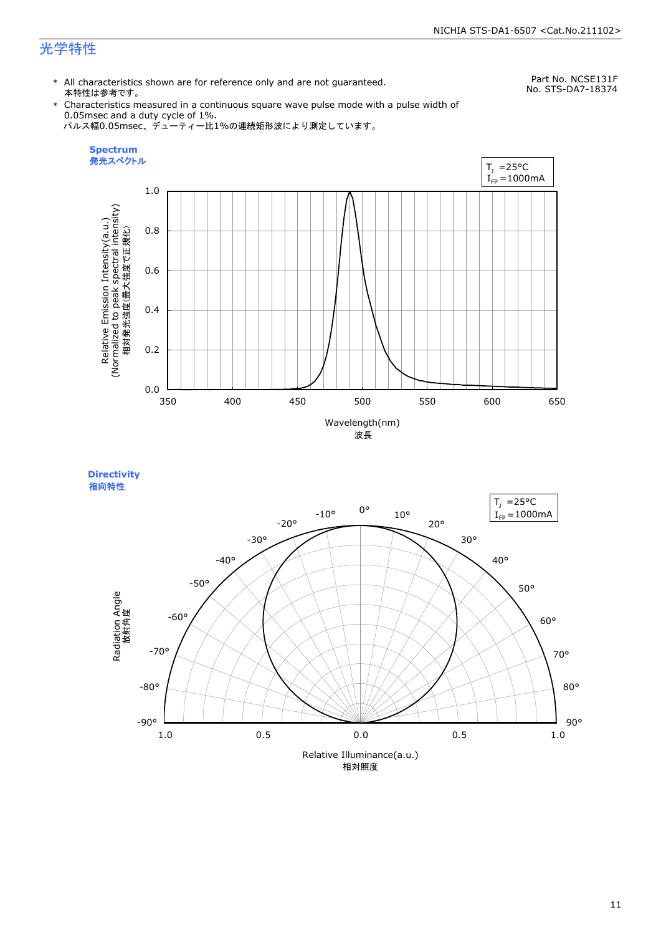### 光学特性

\* All characteristics shown are for reference only and are not guaranteed. 本特性は参考です。

Part No. NCSE131F No. STS-DA7-18374

\* Characteristics measured in a continuous square wave pulse mode with a pulse width of 0.05msec and a duty cycle of 1%. パルス幅0.05msec、デューティー比1%の連続矩形波により測定しています。





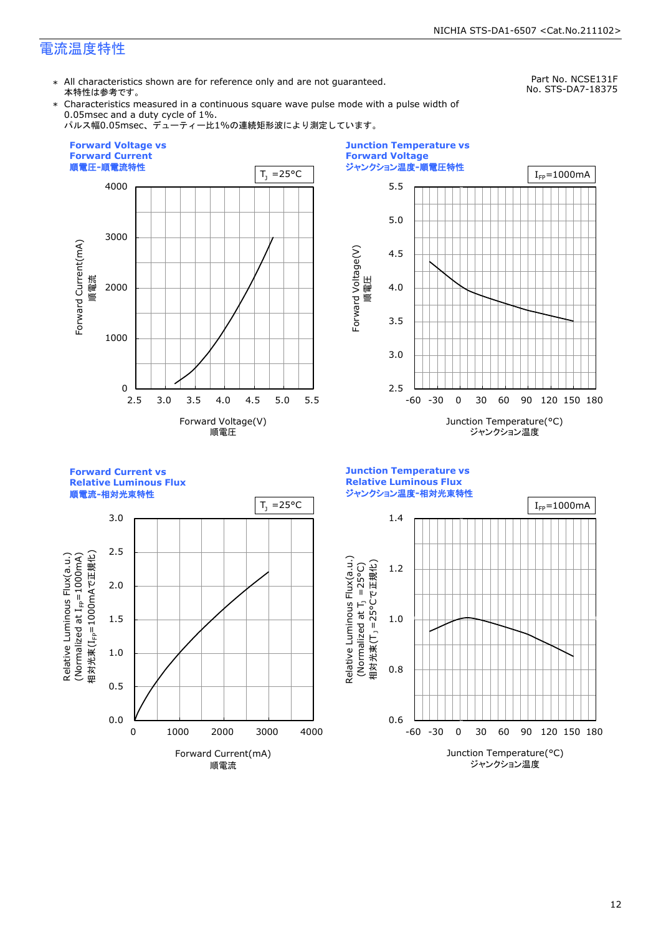### 電流温度特性

\* All characteristics shown are for reference only and are not guaranteed. 本特性は参考です。

Part No. NCSE131F No. STS-DA7-18375

\* Characteristics measured in a continuous square wave pulse mode with a pulse width of 0.05msec and a duty cycle of 1%.

パルス幅0.05msec、デューティー比1%の連続矩形波により測定しています。





**Forward Current vs** 

**Relative Luminous Flux**





**Junction Temperature vs**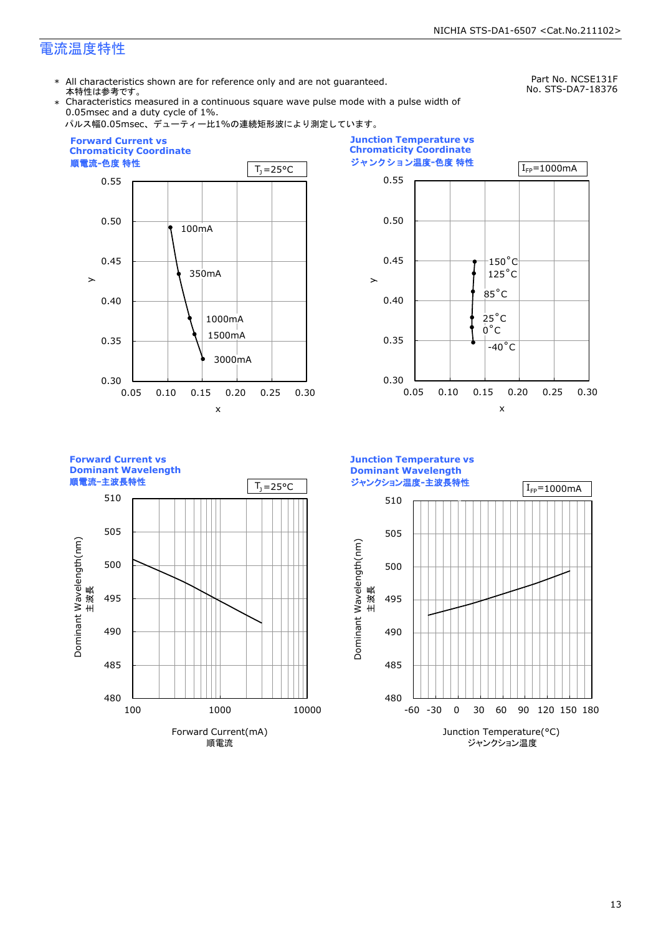### 電流温度特性

\* All characteristics shown are for reference only and are not guaranteed. 本特性は参考です。

Part No. NCSE131F No. STS-DA7-18376

Characteristics measured in a continuous square wave pulse mode with a pulse width of 0.05msec and a duty cycle of 1%.











ジャンクション温度**-**主波長特性

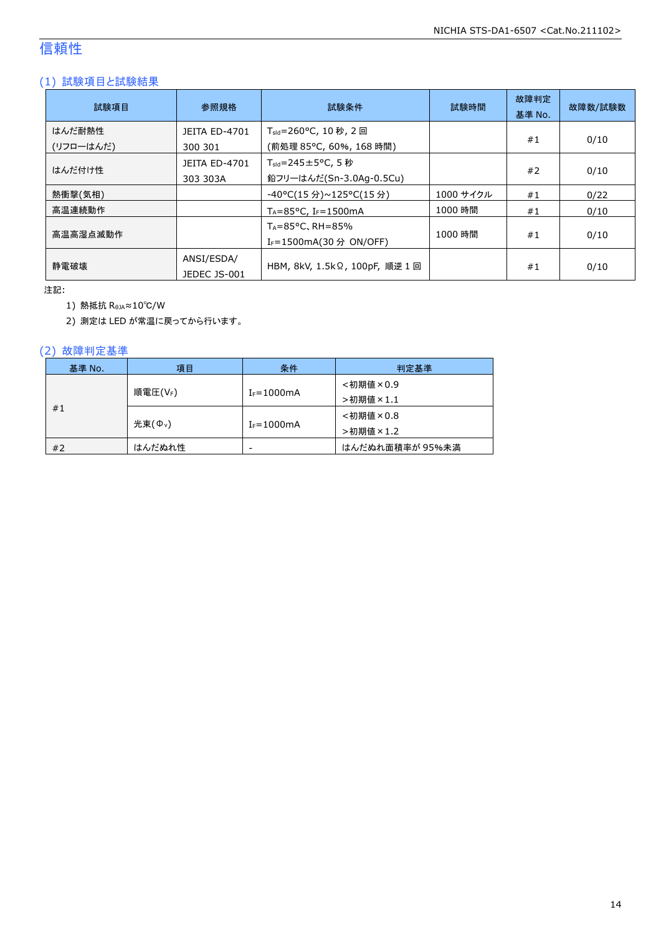### 信頼性

### (1) 試験項目と試験結果

| 試験項目                | 参照規格                             | 試験条件                                                                   | 試験時間      | 故障判定<br>基準 No. | 故障数/試験数 |
|---------------------|----------------------------------|------------------------------------------------------------------------|-----------|----------------|---------|
| はんだ耐熱性<br>(リフローはんだ) | <b>JEITA ED-4701</b><br>300 301  | T <sub>sld</sub> =260°C, 10 秒, 2 回<br>(前処理 85℃, 60%, 168 時間)           |           | #1             | 0/10    |
| はんだ付け性              | <b>JEITA ED-4701</b><br>303 303A | $T_{\text{std}} = 245 \pm 5^{\circ}$ C, 5 秒<br>鉛フリーはんだ(Sn-3.0Ag-0.5Cu) |           | #2             | 0/10    |
| 熱衝撃(気相)             |                                  | -40°C(15 分)~125°C(15 分)                                                | 1000 サイクル | #1             | 0/22    |
| 高温連続動作              |                                  | $T_A = 85^{\circ}$ C, I <sub>F</sub> =1500mA                           | 1000 時間   | #1             | 0/10    |
| 高温高湿点滅動作            |                                  | $T_A = 85^{\circ}$ C, RH = 85%<br>I <sub>F</sub> =1500mA(30 分 ON/OFF)  | 1000 時間   | #1             | 0/10    |
| 静雷破壊                | ANSI/ESDA/<br>JEDEC JS-001       | HBM, 8kV, 1.5kΩ, 100pF, 順逆 1 回                                         |           | #1             | 0/10    |

注記:

1) 熱抵抗 RθJA≈10℃/W

2) 測定は LED が常温に戻ってから行います。

### (2) 故障判定基準

| 基準 No. | 項目                  | 条件              | 判定基準            |
|--------|---------------------|-----------------|-----------------|
| #1     | 順電圧(VF)             | $I_F = 1000$ mA | <初期値×0.9        |
|        |                     |                 | >初期値×1.1        |
|        | 光束(Φ <sub>ν</sub> ) | $I_F = 1000$ mA | <初期値×0.8        |
|        |                     |                 | >初期値×1.2        |
| #2     | はんだぬれ性              | -               | はんだぬれ面積率が 95%未満 |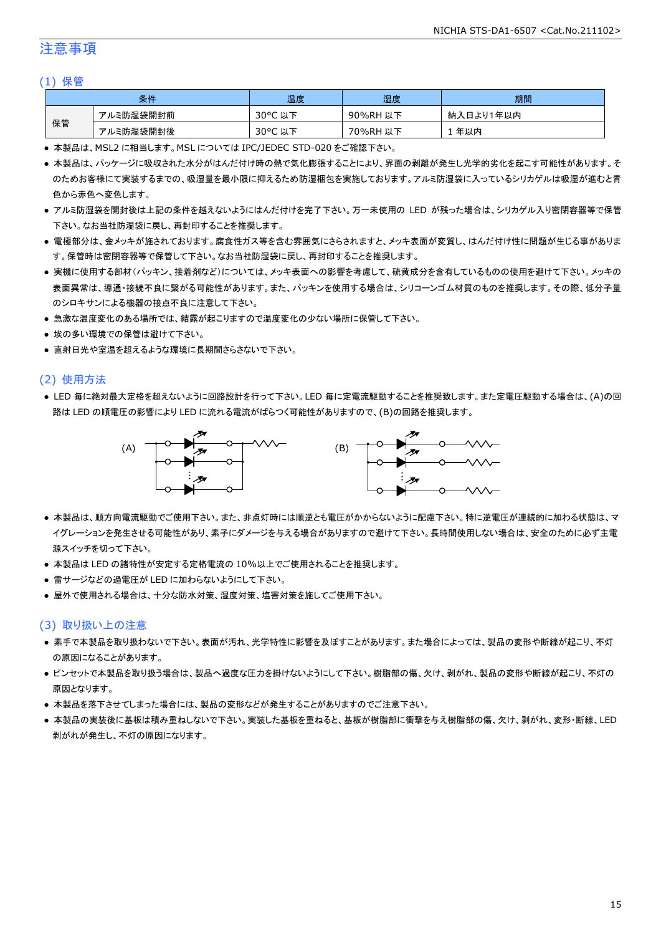### 注意事項

#### (1) 保管

| 条件 |           | 温度                     | 湿度          | 期間              |
|----|-----------|------------------------|-------------|-----------------|
| 保管 | アルミ防湿袋開封前 | $30^{\circ}$ C<br>以下   | 90%RH<br>以下 | ∛入日より1年以内<br>納. |
|    | アルミ防湿袋開封後 | $30^{\circ}$ C<br>. 以下 | 70%RH<br>以下 | 年以内             |

● 本製品は、MSL2 に相当します。MSL については IPC/JEDEC STD-020 をご確認下さい。

- 本製品は、パッケージに吸収された水分がはんだ付け時の熱で気化膨張することにより、界面の剥離が発生し光学的劣化を起こす可能性があります。そ のためお客様にて実装するまでの、吸湿量を最小限に抑えるため防湿梱包を実施しております。アルミ防湿袋に入っているシリカゲルは吸湿が進むと青 色から赤色へ変色します。
- アルミ防湿袋を開封後は上記の条件を越えないようにはんだ付けを完了下さい。万一未使用の LED が残った場合は、シリカゲル入り密閉容器等で保管 下さい。なお当社防湿袋に戻し、再封印することを推奨します。
- 電極部分は、金メッキが施されております。腐食性ガス等を含む雰囲気にさらされますと、メッキ表面が変質し、はんだ付け性に問題が生じる事がありま す。保管時は密閉容器等で保管して下さい。なお当社防湿袋に戻し、再封印することを推奨します。
- 実機に使用する部材(パッキン、接着剤など)については、メッキ表面への影響を考慮して、硫黄成分を含有しているものの使用を避けて下さい。メッキの 表面異常は、導通・接続不良に繋がる可能性があります。また、パッキンを使用する場合は、シリコーンゴム材質のものを推奨します。その際、低分子量 のシロキサンによる機器の接点不良に注意して下さい。
- 急激な温度変化のある場所では、結露が起こりますので温度変化の少ない場所に保管して下さい。
- 埃の多い環境での保管は避けて下さい。
- 直射日光や室温を超えるような環境に長期間さらさないで下さい。

#### (2) 使用方法

● LED 毎に絶対最大定格を超えないように回路設計を行って下さい。LED 毎に定電流駆動することを推奨致します。また定電圧駆動する場合は、(A)の回 路は LED の順電圧の影響により LED に流れる電流がばらつく可能性がありますので、(B)の回路を推奨します。



- 本製品は、順方向電流駆動でご使用下さい。また、非点灯時には順逆とも電圧がかからないように配慮下さい。特に逆電圧が連続的に加わる状態は、マ イグレーションを発生させる可能性があり、素子にダメージを与える場合がありますので避けて下さい。長時間使用しない場合は、安全のために必ず主電 源スイッチを切って下さい。
- 本製品は LED の諸特性が安定する定格電流の 10%以上でご使用されることを推奨します。
- 雷サージなどの過電圧が LED に加わらないようにして下さい。
- 屋外で使用される場合は、十分な防水対策、湿度対策、塩害対策を施してご使用下さい。

#### (3) 取り扱い上の注意

- 素手で本製品を取り扱わないで下さい。表面が汚れ、光学特性に影響を及ぼすことがあります。また場合によっては、製品の変形や断線が起こり、不灯 の原因になることがあります。
- ピンセットで本製品を取り扱う場合は、製品へ過度な圧力を掛けないようにして下さい。樹脂部の傷、欠け、剥がれ、製品の変形や断線が起こり、不灯の 原因となります。
- 本製品を落下させてしまった場合には、製品の変形などが発生することがありますのでご注意下さい。
- 本製品の実装後に基板は積み重ねしないで下さい。実装した基板を重ねると、基板が樹脂部に衝撃を与え樹脂部の傷、欠け、剥がれ、変形・断線、LED 剥がれが発生し、不灯の原因になります。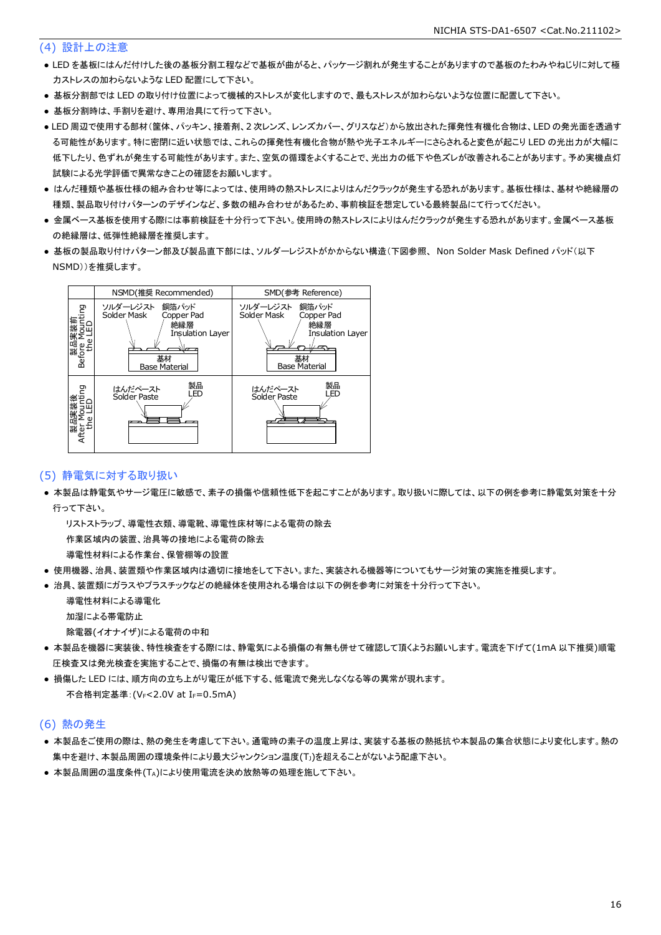#### (4) 設計上の注意

- LED を基板にはんだ付けした後の基板分割工程などで基板が曲がると、パッケージ割れが発生することがありますので基板のたわみやねじりに対して極 力ストレスの加わらないような LED 配置にして下さい。
- 基板分割部では LED の取り付け位置によって機械的ストレスが変化しますので、最もストレスが加わらないような位置に配置して下さい。
- 基板分割時は、手割りを避け、専用治具にて行って下さい。
- LED 周辺で使用する部材(筐体、パッキン、接着剤、2 次レンズ、レンズカバー、グリスなど)から放出された揮発性有機化合物は、LED の発光面を透過す る可能性があります。特に密閉に近い状態では、これらの揮発性有機化合物が熱や光子エネルギーにさらされると変色が起こり LED の光出力が大幅に 低下したり、色ずれが発生する可能性があります。また、空気の循環をよくすることで、光出力の低下や色ズレが改善されることがあります。予め実機点灯 試験による光学評価で異常なきことの確認をお願いします。
- はんだ種類や基板仕様の組み合わせ等によっては、使用時の熱ストレスによりはんだクラックが発生する恐れがあります。基板仕様は、基材や絶縁層の 種類、製品取り付けパターンのデザインなど、多数の組み合わせがあるため、事前検証を想定している最終製品にて行ってください。
- 金属ベース基板を使用する際には事前検証を十分行って下さい。使用時の熱ストレスによりはんだクラックが発生する恐れがあります。金属ベース基板 の絶縁層は、低弾性絶縁層を推奨します。
- 基板の製品取り付けパターン部及び製品直下部には、ソルダーレジストがかからない構造(下図参照、 Non Solder Mask Defined パッド(以下 NSMD))を推奨します。



#### (5) 静電気に対する取り扱い

● 本製品は静電気やサージ電圧に敏感で、素子の損傷や信頼性低下を起こすことがあります。取り扱いに際しては、以下の例を参考に静電気対策を十分 行って下さい。

 リストストラップ、導電性衣類、導電靴、導電性床材等による電荷の除去 作業区域内の装置、治具等の接地による電荷の除去

導電性材料による作業台、保管棚等の設置

- 使用機器、治具、装置類や作業区域内は適切に接地をして下さい。また、実装される機器等についてもサージ対策の実施を推奨します。
- 治具、装置類にガラスやプラスチックなどの絶縁体を使用される場合は以下の例を参考に対策を十分行って下さい。

 導電性材料による導電化 加湿による帯電防止

除電器(イオナイザ)による電荷の中和

- 本製品を機器に実装後、特性検査をする際には、静電気による損傷の有無も併せて確認して頂くようお願いします。電流を下げて(1mA 以下推奨)順電 圧検査又は発光検査を実施することで、損傷の有無は検出できます。
- 損傷した LED には、順方向の立ち上がり電圧が低下する、低電流で発光しなくなる等の異常が現れます。 不合格判定基準: (VF<2.0V at IF=0.5mA)

#### (6) 熱の発生

- 本製品をご使用の際は、熱の発生を考慮して下さい。通電時の素子の温度上昇は、実装する基板の熱抵抗や本製品の集合状態により変化します。熱の 集中を避け、本製品周囲の環境条件により最大ジャンクション温度(TJ)を超えることがないよう配慮下さい。
- 本製品周囲の温度条件(TA)により使用電流を決め放熱等の処理を施して下さい。